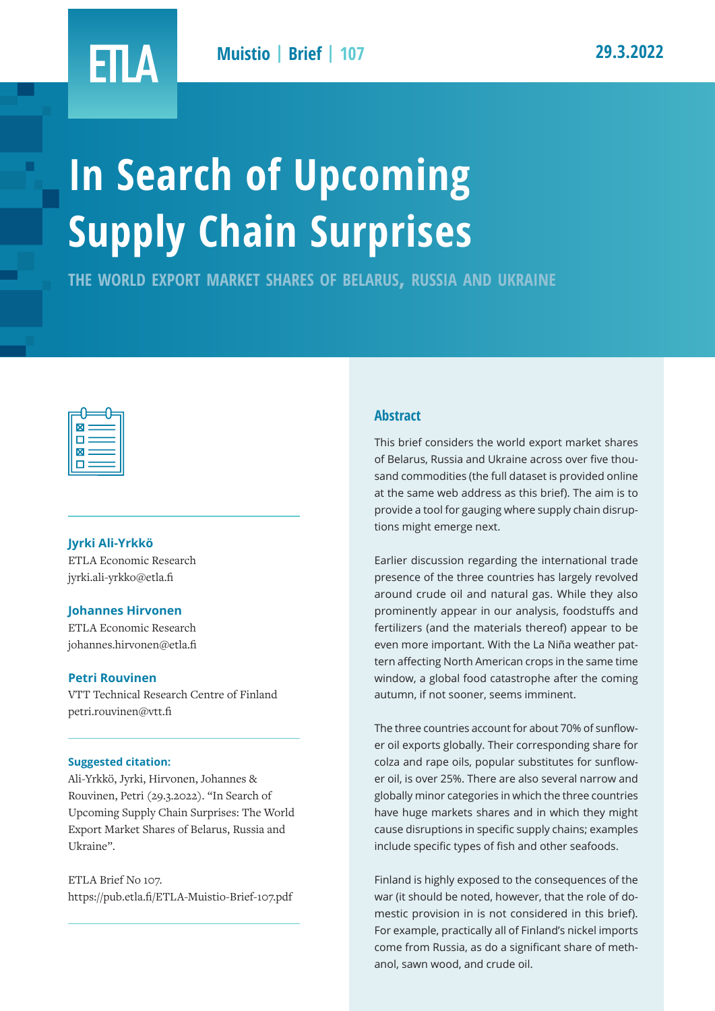# ETLA

# **In Search of Upcoming Supply Chain Surprises**

**the world export market shares of belarus, russia and ukraine**



#### **Jyrki Ali-Yrkkö**

ETLA Economic Research jyrki.ali-yrkko@etla.fi

#### **Johannes Hirvonen**

ETLA Economic Research johannes.hirvonen@etla.fi

#### **Petri Rouvinen**

VTT Technical Research Centre of Finland petri.rouvinen@vtt.fi

#### **Suggested citation:**

Ali-Yrkkö, Jyrki, Hirvonen, Johannes & Rouvinen, Petri (29.3.2022). "In Search of Upcoming Supply Chain Surprises: The World Export Market Shares of Belarus, Russia and Ukraine".

ETLA Brief No 107. https://pub.etla.fi/ETLA-Muistio-Brief-107.pdf

#### **Abstract**

This brief considers the world export market shares of Belarus, Russia and Ukraine across over five thousand commodities (the full dataset is provided online at the same web address as this brief). The aim is to provide a tool for gauging where supply chain disruptions might emerge next.

Earlier discussion regarding the international trade presence of the three countries has largely revolved around crude oil and natural gas. While they also prominently appear in our analysis, foodstuffs and fertilizers (and the materials thereof) appear to be even more important. With the La Niña weather pattern affecting North American crops in the same time window, a global food catastrophe after the coming autumn, if not sooner, seems imminent.

The three countries account for about 70% of sunflower oil exports globally. Their corresponding share for colza and rape oils, popular substitutes for sunflower oil, is over 25%. There are also several narrow and globally minor categories in which the three countries have huge markets shares and in which they might cause disruptions in specific supply chains; examples include specific types of fish and other seafoods.

Finland is highly exposed to the consequences of the war (it should be noted, however, that the role of domestic provision in is not considered in this brief). For example, practically all of Finland's nickel imports come from Russia, as do a significant share of methanol, sawn wood, and crude oil.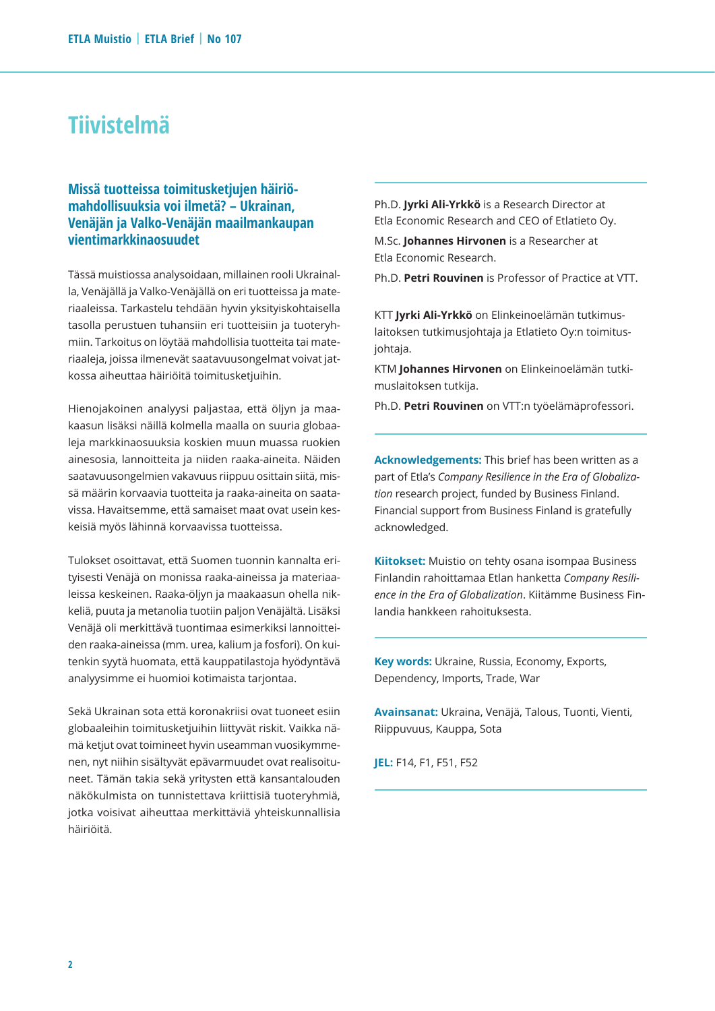## **Tiivistelmä**

#### **Missä tuotteissa toimitusketjujen häiriömahdollisuuksia voi ilmetä? – Ukrainan, Venäjän ja Valko-Venäjän maailmankaupan vientimarkkinaosuudet**

Tässä muistiossa analysoidaan, millainen rooli Ukrainalla, Venäjällä ja Valko-Venäjällä on eri tuotteissa ja materiaaleissa. Tarkastelu tehdään hyvin yksityiskohtaisella tasolla perustuen tuhansiin eri tuotteisiin ja tuoteryhmiin. Tarkoitus on löytää mahdollisia tuotteita tai materiaaleja, joissa ilmenevät saatavuusongelmat voivat jatkossa aiheuttaa häiriöitä toimitusketjuihin.

Hienojakoinen analyysi paljastaa, että öljyn ja maakaasun lisäksi näillä kolmella maalla on suuria globaaleja markkinaosuuksia koskien muun muassa ruokien ainesosia, lannoitteita ja niiden raaka-aineita. Näiden saatavuusongelmien vakavuus riippuu osittain siitä, missä määrin korvaavia tuotteita ja raaka-aineita on saatavissa. Havaitsemme, että samaiset maat ovat usein keskeisiä myös lähinnä korvaavissa tuotteissa.

Tulokset osoittavat, että Suomen tuonnin kannalta erityisesti Venäjä on monissa raaka-aineissa ja materiaaleissa keskeinen. Raaka-öljyn ja maakaasun ohella nikkeliä, puuta ja metanolia tuotiin paljon Venäjältä. Lisäksi Venäjä oli merkittävä tuontimaa esimerkiksi lannoitteiden raaka-aineissa (mm. urea, kalium ja fosfori). On kuitenkin syytä huomata, että kauppatilastoja hyödyntävä analyysimme ei huomioi kotimaista tarjontaa.

Sekä Ukrainan sota että koronakriisi ovat tuoneet esiin globaaleihin toimitusketjuihin liittyvät riskit. Vaikka nämä ketjut ovat toimineet hyvin useamman vuosikymmenen, nyt niihin sisältyvät epävarmuudet ovat realisoituneet. Tämän takia sekä yritysten että kansantalouden näkökulmista on tunnistettava kriittisiä tuoteryhmiä, jotka voisivat aiheuttaa merkittäviä yhteiskunnallisia häiriöitä.

Ph.D. **Jyrki Ali-Yrkkö** is a Research Director at Etla Economic Research and CEO of Etlatieto Oy.

M.Sc. **Johannes Hirvonen** is a Researcher at Etla Economic Research.

Ph.D. **Petri Rouvinen** is Professor of Practice at VTT.

KTT **Jyrki Ali-Yrkkö** on Elinkeinoelämän tutkimuslaitoksen tutkimusjohtaja ja Etlatieto Oy:n toimitusjohtaja.

KTM **Johannes Hirvonen** on Elinkeinoelämän tutkimuslaitoksen tutkija.

Ph.D. **Petri Rouvinen** on VTT:n työelämäprofessori.

**Acknowledgements:** This brief has been written as a part of Etla's *Company Resilience in the Era of Globalization* research project, funded by Business Finland. Financial support from Business Finland is gratefully acknowledged.

**Kiitokset:** Muistio on tehty osana isompaa Business Finlandin rahoittamaa Etlan hanketta *Company Resilience in the Era of Globalization*. Kiitämme Business Finlandia hankkeen rahoituksesta.

**Key words:** Ukraine, Russia, Economy, Exports, Dependency, Imports, Trade, War

**Avainsanat:** Ukraina, Venäjä, Talous, Tuonti, Vienti, Riippuvuus, Kauppa, Sota

**JEL:** F14, F1, F51, F52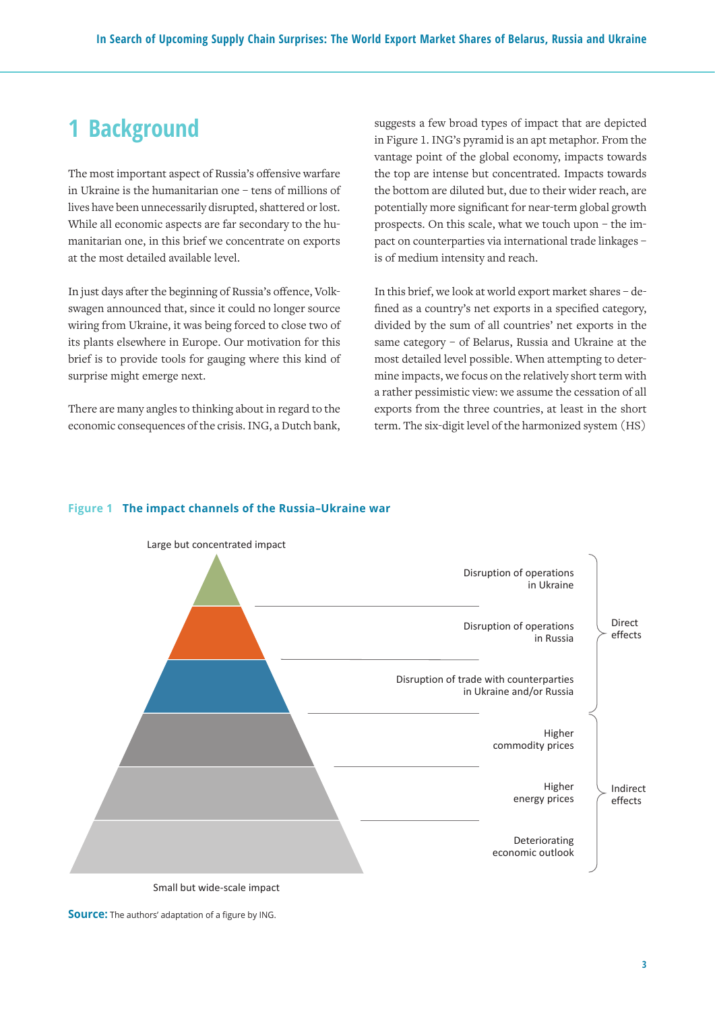# **1 Background**

The most important aspect of Russia's offensive warfare in Ukraine is the humanitarian one – tens of millions of lives have been unnecessarily disrupted, shattered or lost. While all economic aspects are far secondary to the humanitarian one, in this brief we concentrate on exports at the most detailed available level.

In just days after the beginning of Russia's offence, Volkswagen announced that, since it could no longer source wiring from Ukraine, it was being forced to close two of its plants elsewhere in Europe. Our motivation for this brief is to provide tools for gauging where this kind of surprise might emerge next.

There are many angles to thinking about in regard to the  $\,$ economic consequences of the crisis. ING, a Dutch bank, suggests a few broad types of impact that are depicted in Figure 1. ING's pyramid is an apt metaphor. From the vantage point of the global economy, impacts towards the top are intense but concentrated. Impacts towards the bottom are diluted but, due to their wider reach, are potentially more significant for near-term global growth prospects. On this scale, what we touch upon – the impact on counterparties via international trade linkages – is of medium intensity and reach.

In this brief, we look at world export market shares – defined as a country's net exports in a specified category, divided by the sum of all countries' net exports in the same category – of Belarus, Russia and Ukraine at the most detailed level possible. When attempting to determine impacts, we focus on the relatively short term with a rather pessimistic view: we assume the cessation of all exports from the three countries, at least in the short term. The six-digit level of the harmonized system (HS)

#### **Figure 1 The impact channels of the Russia–Ukraine war**



Small but wide-scale impact

Source: The authors' adaptation of a figure by ING. **Source:** The authors' adaptation of a figure by ING.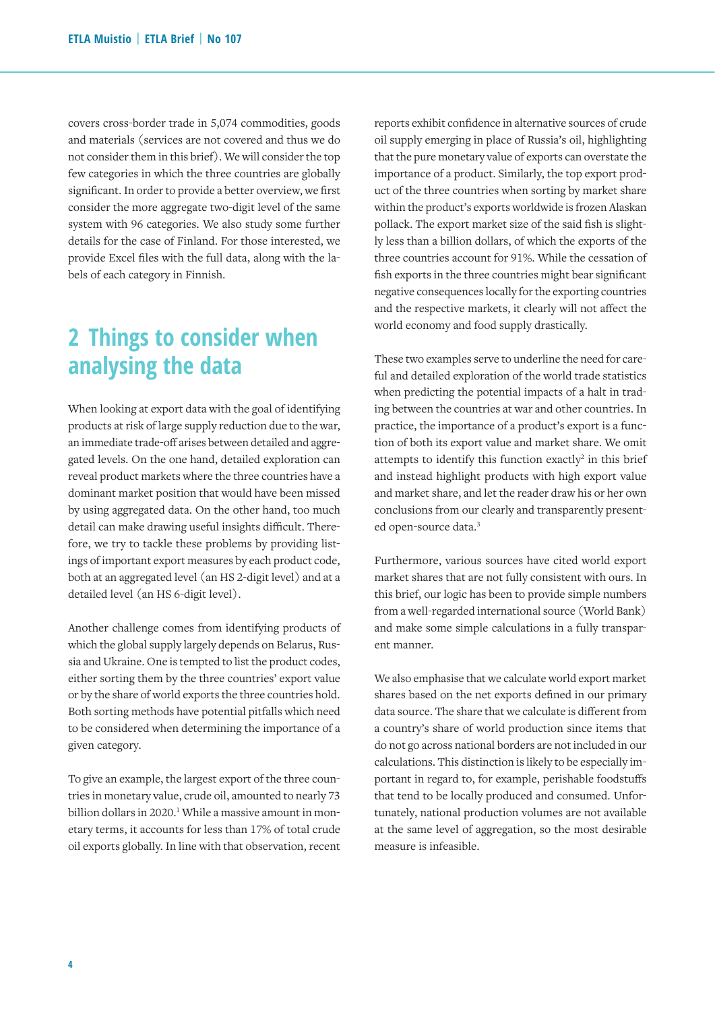covers cross-border trade in 5,074 commodities, goods and materials (services are not covered and thus we do not consider them in this brief). We will consider the top few categories in which the three countries are globally significant. In order to provide a better overview, we first consider the more aggregate two-digit level of the same system with 96 categories. We also study some further details for the case of Finland. For those interested, we provide Excel files with the full data, along with the labels of each category in Finnish.

# **2 Things to consider when analysing the data**

When looking at export data with the goal of identifying products at risk of large supply reduction due to the war, an immediate trade-off arises between detailed and aggregated levels. On the one hand, detailed exploration can reveal product markets where the three countries have a dominant market position that would have been missed by using aggregated data. On the other hand, too much detail can make drawing useful insights difficult. Therefore, we try to tackle these problems by providing listings of important export measures by each product code, both at an aggregated level (an HS 2-digit level) and at a detailed level (an HS 6-digit level).

Another challenge comes from identifying products of which the global supply largely depends on Belarus, Russia and Ukraine. One is tempted to list the product codes, either sorting them by the three countries' export value or by the share of world exports the three countries hold. Both sorting methods have potential pitfalls which need to be considered when determining the importance of a given category.

To give an example, the largest export of the three countries in monetary value, crude oil, amounted to nearly 73 billion dollars in 2020.<sup>1</sup> While a massive amount in monetary terms, it accounts for less than 17% of total crude oil exports globally. In line with that observation, recent reports exhibit confidence in alternative sources of crude oil supply emerging in place of Russia's oil, highlighting that the pure monetary value of exports can overstate the importance of a product. Similarly, the top export product of the three countries when sorting by market share within the product's exports worldwide is frozen Alaskan pollack. The export market size of the said fish is slightly less than a billion dollars, of which the exports of the three countries account for 91%. While the cessation of fish exports in the three countries might bear significant negative consequences locally for the exporting countries and the respective markets, it clearly will not affect the world economy and food supply drastically.

These two examples serve to underline the need for careful and detailed exploration of the world trade statistics when predicting the potential impacts of a halt in trading between the countries at war and other countries. In practice, the importance of a product's export is a function of both its export value and market share. We omit attempts to identify this function exactly $2$  in this brief and instead highlight products with high export value and market share, and let the reader draw his or her own conclusions from our clearly and transparently presented open-source data.3

Furthermore, various sources have cited world export market shares that are not fully consistent with ours. In this brief, our logic has been to provide simple numbers from a well-regarded international source (World Bank) and make some simple calculations in a fully transparent manner.

We also emphasise that we calculate world export market shares based on the net exports defined in our primary data source. The share that we calculate is different from a country's share of world production since items that do not go across national borders are not included in our calculations. This distinction is likely to be especially important in regard to, for example, perishable foodstuffs that tend to be locally produced and consumed. Unfortunately, national production volumes are not available at the same level of aggregation, so the most desirable measure is infeasible.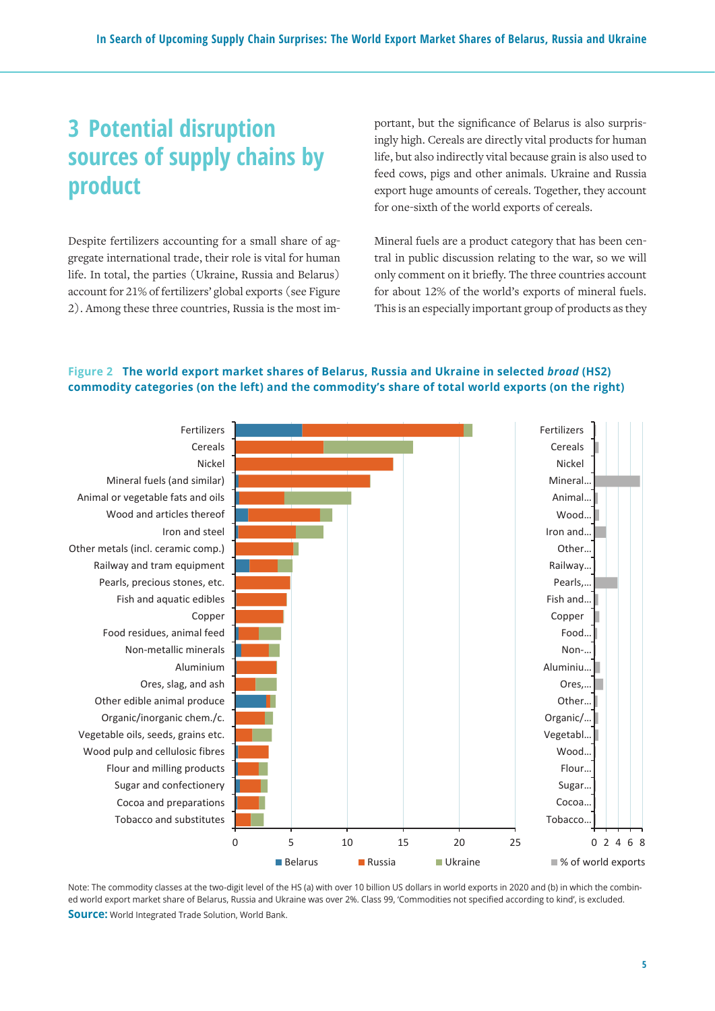# **3 Potential disruption sources of supply chains by product**

Despite fertilizers accounting for a small share of aggregate international trade, their role is vital for human life. In total, the parties (Ukraine, Russia and Belarus) account for 21% of fertilizers' global exports (see Figure 2). Among these three countries, Russia is the most important, but the significance of Belarus is also surprisingly high. Cereals are directly vital products for human life, but also indirectly vital because grain is also used to feed cows, pigs and other animals. Ukraine and Russia export huge amounts of cereals. Together, they account for one-sixth of the world exports of cereals.

Mineral fuels are a product category that has been central in public discussion relating to the war, so we will only comment on it briefly. The three countries account for about 12% of the world's exports of mineral fuels. This is an especially important group of products as they

## Figure 2 The world export market shares of Belarus, Russia and Ukraine in selected broad (HS2) **(on the left) and the commodity's share of total world exports (on the right) commodity categories (on the left) and the commodity's share of total world exports (on the right)**



ed world export market share of Belarus, Russia and Ukraine was over 2%. Class 99, 'Commodities not specified according to kind', is excluded. **Source:** World Integrated Trade Solution, World Bank. **Source:** World Integrated Trade Solution, World Bank. Note: The commodity classes at the two-digit level of the HS (a) with over 10 billion US dollars in world exports in 2020 and (b) in which the combin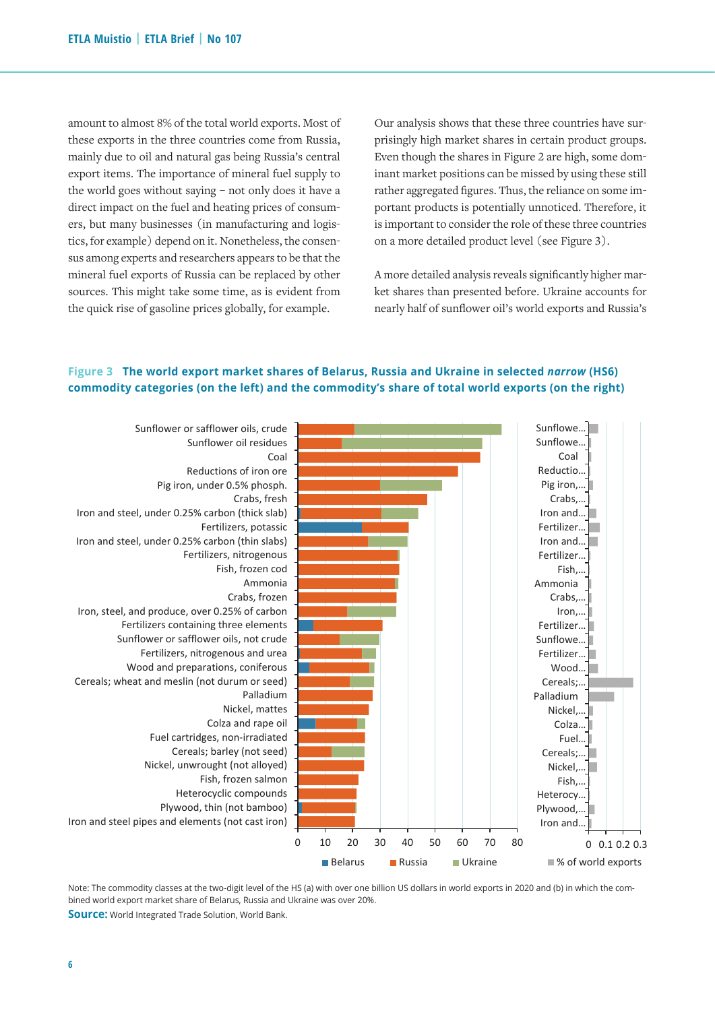amount to almost 8% of the total world exports. Most of these exports in the three countries come from Russia, mainly due to oil and natural gas being Russia's central export items. The importance of mineral fuel supply to the world goes without saying – not only does it have a direct impact on the fuel and heating prices of consumers, but many businesses (in manufacturing and logistics, for example) depend on it. Nonetheless, the consensus among experts and researchers appears to be that the mineral fuel exports of Russia can be replaced by other sources. This might take some time, as is evident from the quick rise of gasoline prices globally, for example.

Our analysis shows that these three countries have surprisingly high market shares in certain product groups. Even though the shares in Figure 2 are high, some dominant market positions can be missed by using these still rather aggregated figures. Thus, the reliance on some important products is potentially unnoticed. Therefore, it is important to consider the role of these three countries on a more detailed product level (see Figure 3).

A more detailed analysis reveals significantly higher market shares than presented before. Ukraine accounts for nearly half of sunflower oil's world exports and Russia's

## Figure 3 The world export market shares of Belarus, Russia and Ukraine in selected narrow (HS6) **(on the left) and the commodity's share of total world exports (on the right) commodity categories (on the left) and the commodity's share of total world exports (on the right)**



bined world export market share of Belarus, Russia and Ukraine was over 20%. Note: The commodity classes at the two-digit level of the HS (a) with over one billion US dollars in world exports in 2020 and (b) in which the com-

**Source:** World Integrated Trade Solution, World Bank. Source: World Integrated Trade Solution, World Bank.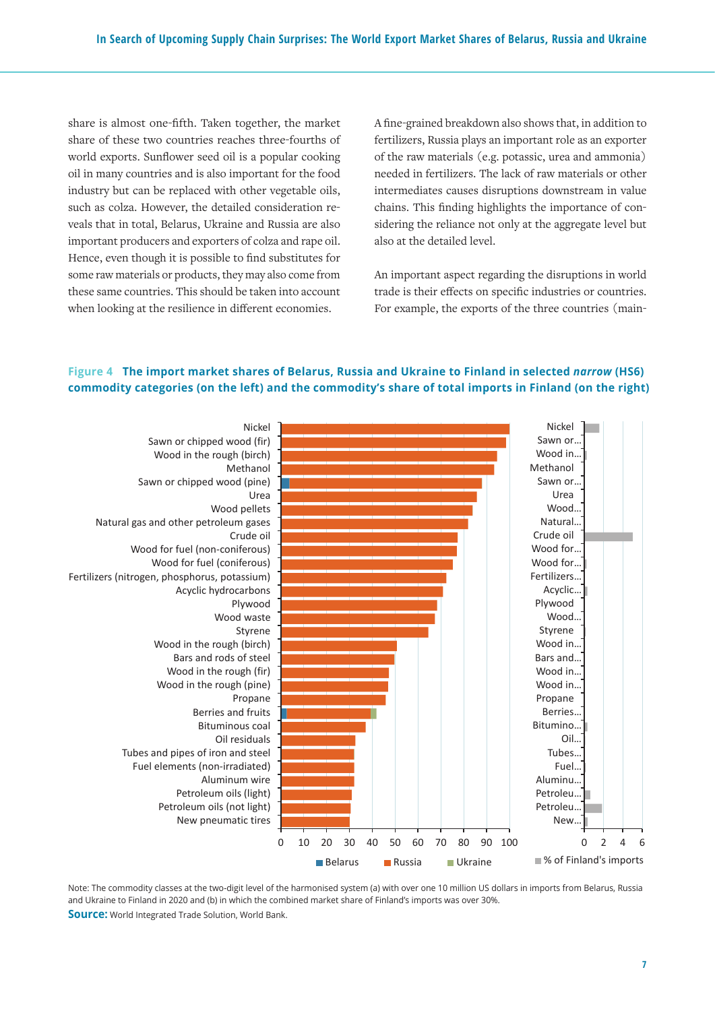share is almost one-fifth. Taken together, the market share of these two countries reaches three-fourths of world exports. Sunflower seed oil is a popular cooking oil in many countries and is also important for the food industry but can be replaced with other vegetable oils, such as colza. However, the detailed consideration reveals that in total, Belarus, Ukraine and Russia are also important producers and exporters of colza and rape oil. Hence, even though it is possible to find substitutes for some raw materials or products, they may also come from these same countries. This should be taken into account when looking at the resilience in different economies.

A fine-grained breakdown also shows that, in addition to fertilizers, Russia plays an important role as an exporter of the raw materials (e.g. potassic, urea and ammonia) needed in fertilizers. The lack of raw materials or other intermediates causes disruptions downstream in value chains. This finding highlights the importance of considering the reliance not only at the aggregate level but also at the detailed level.

An important aspect regarding the disruptions in world trade is their effects on specific industries or countries. For example, the exports of the three countries (main-

## Figure 4 The import market shares of Belarus, Russia and Ukraine to Finland in selected narrow (HS6) **categories (on the left) and the commodity's share of total imports in Finland (on the right) commodity categories (on the left) and the commodity's share of total imports in Finland (on the right)**



and Ukraine to Finland in 2020 and (b) in which the combined market share of Finland's imports was over 30%. Note: The commodity classes at the two-digit level of the harmonised system (a) with over one 10 million US dollars in imports from Belarus, Russia

**Source:** World Integrated Trade Solution, World Bank. Source: World Integrated Trade Solution, World Bank.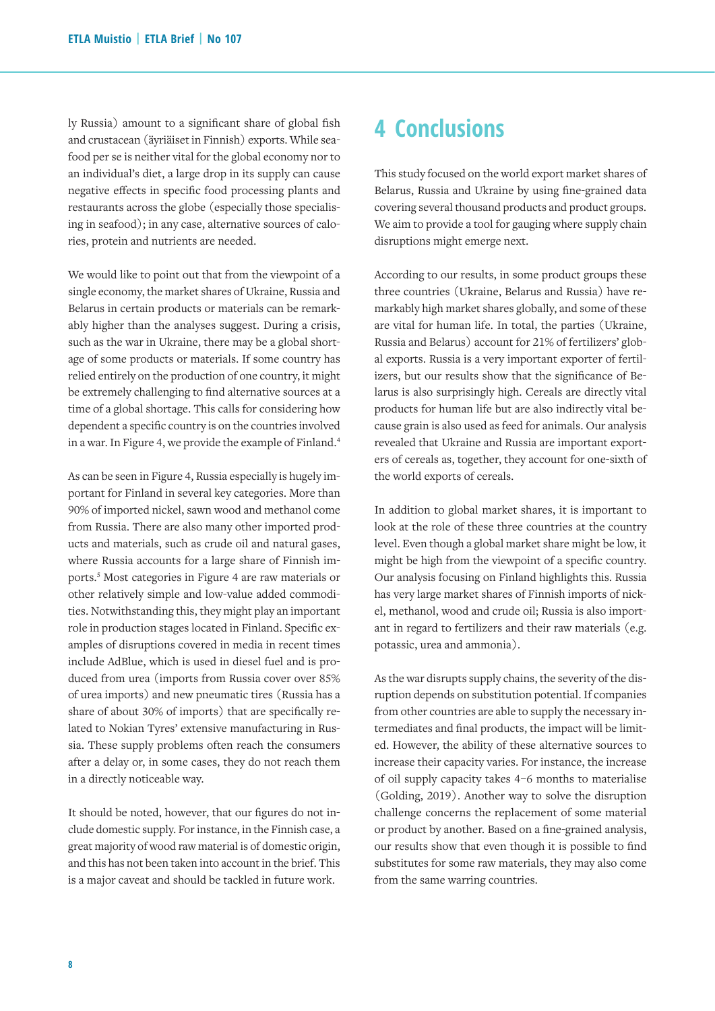ly Russia) amount to a significant share of global fish and crustacean (äyriäiset in Finnish) exports. While seafood per se is neither vital for the global economy nor to an individual's diet, a large drop in its supply can cause negative effects in specific food processing plants and restaurants across the globe (especially those specialising in seafood); in any case, alternative sources of calories, protein and nutrients are needed.

We would like to point out that from the viewpoint of a single economy, the market shares of Ukraine, Russia and Belarus in certain products or materials can be remarkably higher than the analyses suggest. During a crisis, such as the war in Ukraine, there may be a global shortage of some products or materials. If some country has relied entirely on the production of one country, it might be extremely challenging to find alternative sources at a time of a global shortage. This calls for considering how dependent a specific country is on the countries involved in a war. In Figure 4, we provide the example of Finland.4

As can be seen in Figure 4, Russia especially is hugely important for Finland in several key categories. More than 90% of imported nickel, sawn wood and methanol come from Russia. There are also many other imported products and materials, such as crude oil and natural gases, where Russia accounts for a large share of Finnish imports.5 Most categories in Figure 4 are raw materials or other relatively simple and low-value added commodities. Notwithstanding this, they might play an important role in production stages located in Finland. Specific examples of disruptions covered in media in recent times include AdBlue, which is used in diesel fuel and is produced from urea (imports from Russia cover over 85% of urea imports) and new pneumatic tires (Russia has a share of about 30% of imports) that are specifically related to Nokian Tyres' extensive manufacturing in Russia. These supply problems often reach the consumers after a delay or, in some cases, they do not reach them in a directly noticeable way.

It should be noted, however, that our figures do not include domestic supply. For instance, in the Finnish case, a great majority of wood raw material is of domestic origin, and this has not been taken into account in the brief. This is a major caveat and should be tackled in future work.

## **4 Conclusions**

This study focused on the world export market shares of Belarus, Russia and Ukraine by using fine-grained data covering several thousand products and product groups. We aim to provide a tool for gauging where supply chain disruptions might emerge next.

According to our results, in some product groups these three countries (Ukraine, Belarus and Russia) have remarkably high market shares globally, and some of these are vital for human life. In total, the parties (Ukraine, Russia and Belarus) account for 21% of fertilizers' global exports. Russia is a very important exporter of fertilizers, but our results show that the significance of Belarus is also surprisingly high. Cereals are directly vital products for human life but are also indirectly vital because grain is also used as feed for animals. Our analysis revealed that Ukraine and Russia are important exporters of cereals as, together, they account for one-sixth of the world exports of cereals.

In addition to global market shares, it is important to look at the role of these three countries at the country level. Even though a global market share might be low, it might be high from the viewpoint of a specific country. Our analysis focusing on Finland highlights this. Russia has very large market shares of Finnish imports of nickel, methanol, wood and crude oil; Russia is also important in regard to fertilizers and their raw materials (e.g. potassic, urea and ammonia).

As the war disrupts supply chains, the severity of the disruption depends on substitution potential. If companies from other countries are able to supply the necessary intermediates and final products, the impact will be limited. However, the ability of these alternative sources to increase their capacity varies. For instance, the increase of oil supply capacity takes 4–6 months to materialise (Golding, 2019). Another way to solve the disruption challenge concerns the replacement of some material or product by another. Based on a fine-grained analysis, our results show that even though it is possible to find substitutes for some raw materials, they may also come from the same warring countries.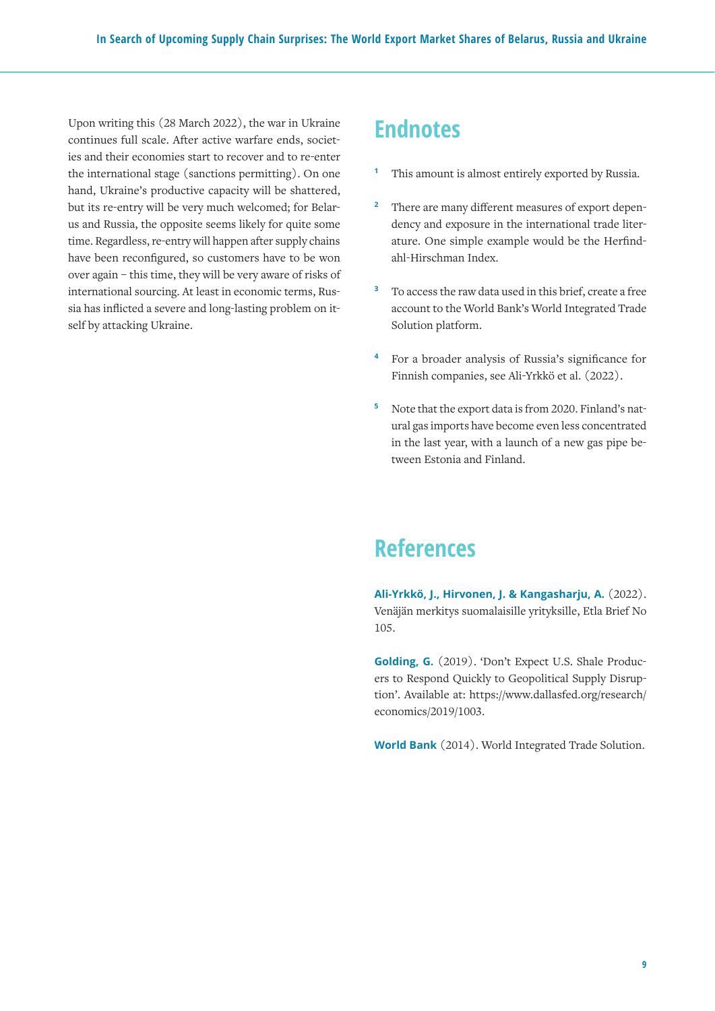Upon writing this (28 March 2022), the war in Ukraine continues full scale. After active warfare ends, societies and their economies start to recover and to re-enter the international stage (sanctions permitting). On one hand, Ukraine's productive capacity will be shattered, but its re-entry will be very much welcomed; for Belarus and Russia, the opposite seems likely for quite some time. Regardless, re-entry will happen after supply chains have been reconfigured, so customers have to be won over again – this time, they will be very aware of risks of international sourcing. At least in economic terms, Russia has inflicted a severe and long-lasting problem on itself by attacking Ukraine.

## **Endnotes**

- **<sup>1</sup>** This amount is almost entirely exported by Russia.
- <sup>2</sup> There are many different measures of export dependency and exposure in the international trade literature. One simple example would be the Herfindahl-Hirschman Index.
- **<sup>3</sup>** To access the raw data used in this brief, create a free account to the World Bank's World Integrated Trade Solution platform.
- **<sup>4</sup>** For a broader analysis of Russia's significance for Finnish companies, see Ali-Yrkkö et al. (2022).
- **<sup>5</sup>** Note that the export data is from 2020. Finland's natural gas imports have become even less concentrated in the last year, with a launch of a new gas pipe between Estonia and Finland.

## **References**

**Ali-Yrkkö, J., Hirvonen, J. & Kangasharju, A.** (2022). Venäjän merkitys suomalaisille yrityksille, Etla Brief No 105.

**Golding, G.** (2019). 'Don't Expect U.S. Shale Producers to Respond Quickly to Geopolitical Supply Disruption'. Available at: https://www.dallasfed.org/research/ economics/2019/1003.

**World Bank** (2014). World Integrated Trade Solution.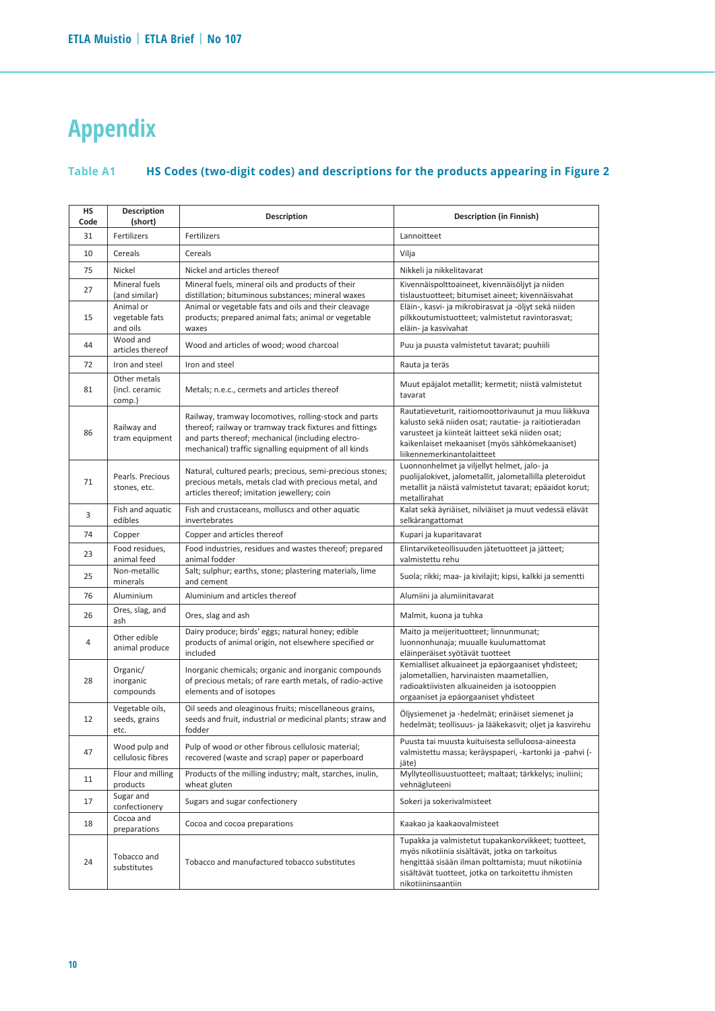# **Appendix**

#### **Table A1 HS Codes (two-digit codes) and descriptions for the products appearing in Figure 2** Table A1

| HS<br>Code | Description<br>(short)                   | <b>Description</b>                                                                                                                                                                                                             | <b>Description (in Finnish)</b>                                                                                                                                                                                                                    |
|------------|------------------------------------------|--------------------------------------------------------------------------------------------------------------------------------------------------------------------------------------------------------------------------------|----------------------------------------------------------------------------------------------------------------------------------------------------------------------------------------------------------------------------------------------------|
| 31         | Fertilizers                              | Fertilizers                                                                                                                                                                                                                    | Lannoitteet                                                                                                                                                                                                                                        |
| 10         | Cereals                                  | Cereals                                                                                                                                                                                                                        | Vilja                                                                                                                                                                                                                                              |
| 75         | Nickel                                   | Nickel and articles thereof                                                                                                                                                                                                    | Nikkeli ja nikkelitavarat                                                                                                                                                                                                                          |
| 27         | Mineral fuels<br>(and similar)           | Mineral fuels, mineral oils and products of their<br>distillation; bituminous substances; mineral waxes                                                                                                                        | Kivennäispolttoaineet, kivennäisöljyt ja niiden<br>tislaustuotteet; bitumiset aineet; kivennäisvahat                                                                                                                                               |
| 15         | Animal or<br>vegetable fats<br>and oils  | Animal or vegetable fats and oils and their cleavage<br>products; prepared animal fats; animal or vegetable<br>waxes                                                                                                           | Eläin-, kasvi- ja mikrobirasvat ja -öljyt sekä niiden<br>pilkkoutumistuotteet; valmistetut ravintorasvat;<br>eläin- ja kasvivahat                                                                                                                  |
| 44         | Wood and<br>articles thereof             | Wood and articles of wood; wood charcoal                                                                                                                                                                                       | Puu ja puusta valmistetut tavarat; puuhiili                                                                                                                                                                                                        |
| 72         | Iron and steel                           | Iron and steel                                                                                                                                                                                                                 | Rauta ja teräs                                                                                                                                                                                                                                     |
| 81         | Other metals<br>(incl. ceramic<br>comp.) | Metals; n.e.c., cermets and articles thereof                                                                                                                                                                                   | Muut epäjalot metallit; kermetit; niistä valmistetut<br>tavarat                                                                                                                                                                                    |
| 86         | Railway and<br>tram equipment            | Railway, tramway locomotives, rolling-stock and parts<br>thereof; railway or tramway track fixtures and fittings<br>and parts thereof; mechanical (including electro-<br>mechanical) traffic signalling equipment of all kinds | Rautatieveturit, raitiomoottorivaunut ja muu liikkuva<br>kalusto sekä niiden osat; rautatie- ja raitiotieradan<br>varusteet ja kiinteät laitteet sekä niiden osat;<br>kaikenlaiset mekaaniset (myös sähkömekaaniset)<br>liikennemerkinantolaitteet |
| 71         | Pearls. Precious<br>stones, etc.         | Natural, cultured pearls; precious, semi-precious stones;<br>precious metals, metals clad with precious metal, and<br>articles thereof; imitation jewellery; coin                                                              | Luonnonhelmet ja viljellyt helmet, jalo- ja<br>puolijalokivet, jalometallit, jalometallilla pleteroidut<br>metallit ja näistä valmistetut tavarat; epäaidot korut;<br>metallirahat                                                                 |
| 3          | Fish and aquatic<br>edibles              | Fish and crustaceans, molluscs and other aquatic<br>invertebrates                                                                                                                                                              | Kalat sekä äyriäiset, nilviäiset ja muut vedessä elävät<br>selkärangattomat                                                                                                                                                                        |
| 74         | Copper                                   | Copper and articles thereof                                                                                                                                                                                                    | Kupari ja kuparitavarat                                                                                                                                                                                                                            |
| 23         | Food residues.<br>animal feed            | Food industries, residues and wastes thereof; prepared<br>animal fodder                                                                                                                                                        | Elintarviketeollisuuden jätetuotteet ja jätteet;<br>valmistettu rehu                                                                                                                                                                               |
| 25         | Non-metallic<br>minerals                 | Salt; sulphur; earths, stone; plastering materials, lime<br>and cement                                                                                                                                                         | Suola; rikki; maa- ja kivilajit; kipsi, kalkki ja sementti                                                                                                                                                                                         |
| 76         | Aluminium                                | Aluminium and articles thereof                                                                                                                                                                                                 | Alumiini ja alumiinitavarat                                                                                                                                                                                                                        |
| 26         | Ores, slag, and<br>ash                   | Ores, slag and ash                                                                                                                                                                                                             | Malmit, kuona ja tuhka                                                                                                                                                                                                                             |
| 4          | Other edible<br>animal produce           | Dairy produce; birds' eggs; natural honey; edible<br>products of animal origin, not elsewhere specified or<br>included                                                                                                         | Maito ja meijerituotteet; linnunmunat;<br>luonnonhunaja; muualle kuulumattomat<br>eläinperäiset syötävät tuotteet                                                                                                                                  |
| 28         | Organic/<br>inorganic<br>compounds       | Inorganic chemicals; organic and inorganic compounds<br>of precious metals; of rare earth metals, of radio-active<br>elements and of isotopes                                                                                  | Kemialliset alkuaineet ja epäorgaaniset yhdisteet;<br>jalometallien, harvinaisten maametallien,<br>radioaktiivisten alkuaineiden ja isotooppien<br>orgaaniset ja epäorgaaniset yhdisteet                                                           |
| 12         | Vegetable oils,<br>seeds, grains<br>etc. | Oil seeds and oleaginous fruits; miscellaneous grains,<br>seeds and fruit, industrial or medicinal plants; straw and<br>fodder                                                                                                 | Öljysiemenet ja -hedelmät; erinäiset siemenet ja<br>hedelmät; teollisuus- ja lääkekasvit; oljet ja kasvirehu                                                                                                                                       |
| 47         | Wood pulp and<br>cellulosic fibres       | Pulp of wood or other fibrous cellulosic material;<br>recovered (waste and scrap) paper or paperboard                                                                                                                          | Puusta tai muusta kuituisesta selluloosa-aineesta<br>valmistettu massa; keräyspaperi, -kartonki ja -pahvi (-<br>jäte)                                                                                                                              |
| 11         | Flour and milling<br>products            | Products of the milling industry; malt, starches, inulin,<br>wheat gluten                                                                                                                                                      | Myllyteollisuustuotteet; maltaat; tärkkelys; inuliini;<br>vehnägluteeni                                                                                                                                                                            |
| 17         | Sugar and<br>confectionery               | Sugars and sugar confectionery                                                                                                                                                                                                 | Sokeri ja sokerivalmisteet                                                                                                                                                                                                                         |
| 18         | Cocoa and<br>preparations                | Cocoa and cocoa preparations                                                                                                                                                                                                   | Kaakao ja kaakaovalmisteet                                                                                                                                                                                                                         |
| 24         | Tobacco and<br>substitutes               | Tobacco and manufactured tobacco substitutes                                                                                                                                                                                   | Tupakka ja valmistetut tupakankorvikkeet; tuotteet,<br>myös nikotiinia sisältävät, jotka on tarkoitus<br>hengittää sisään ilman polttamista; muut nikotiinia<br>sisältävät tuotteet, jotka on tarkoitettu ihmisten<br>nikotiininsaantiin           |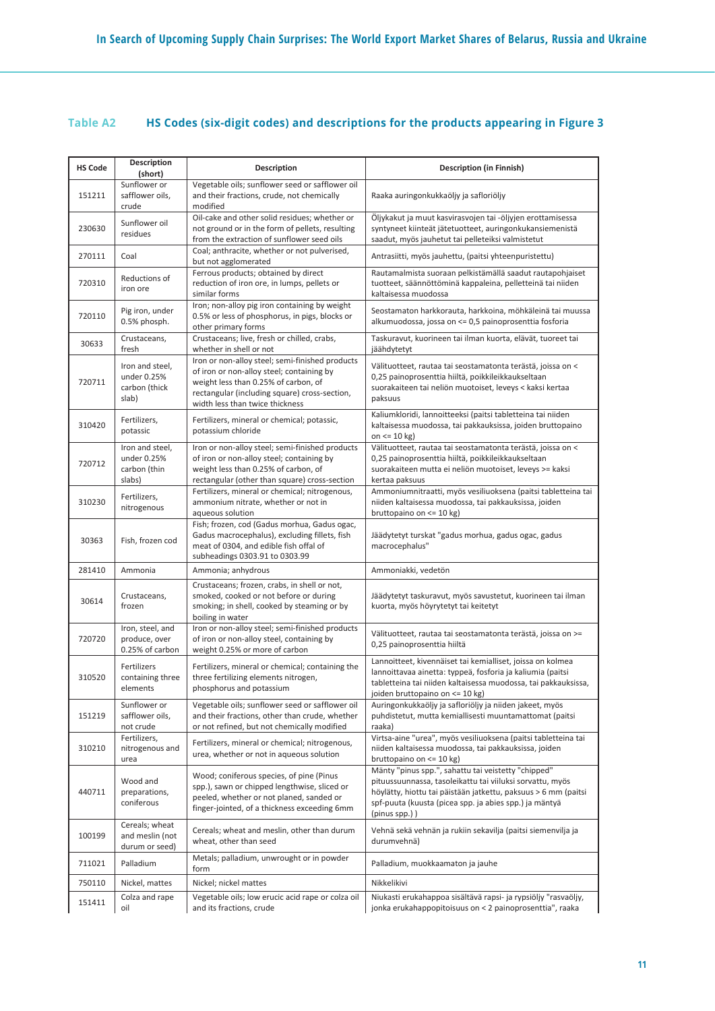## **Table A2 HS Codes (six-digit codes) and descriptions for the products appearing in Figure 3**

| <b>HS Code</b> | <b>Description</b><br>(short)                            | Description                                                                                                                                                                                                              | Description (in Finnish)                                                                                                                                                                                                                                         |
|----------------|----------------------------------------------------------|--------------------------------------------------------------------------------------------------------------------------------------------------------------------------------------------------------------------------|------------------------------------------------------------------------------------------------------------------------------------------------------------------------------------------------------------------------------------------------------------------|
| 151211         | Sunflower or<br>safflower oils,<br>crude                 | Vegetable oils; sunflower seed or safflower oil<br>and their fractions, crude, not chemically<br>modified                                                                                                                | Raaka auringonkukkaöljy ja safloriöljy                                                                                                                                                                                                                           |
| 230630         | Sunflower oil<br>residues                                | Oil-cake and other solid residues; whether or<br>not ground or in the form of pellets, resulting<br>from the extraction of sunflower seed oils                                                                           | Öljykakut ja muut kasvirasvojen tai -öljyjen erottamisessa<br>syntyneet kiinteät jätetuotteet, auringonkukansiemenistä<br>saadut, myös jauhetut tai pelleteiksi valmistetut                                                                                      |
| 270111         | Coal                                                     | Coal; anthracite, whether or not pulverised,<br>but not agglomerated                                                                                                                                                     | Antrasiitti, myös jauhettu, (paitsi yhteenpuristettu)                                                                                                                                                                                                            |
| 720310         | Reductions of<br>iron ore                                | Ferrous products; obtained by direct<br>reduction of iron ore, in lumps, pellets or<br>similar forms                                                                                                                     | Rautamalmista suoraan pelkistämällä saadut rautapohjaiset<br>tuotteet, säännöttöminä kappaleina, pelletteinä tai niiden<br>kaltaisessa muodossa                                                                                                                  |
| 720110         | Pig iron, under<br>0.5% phosph.                          | Iron; non-alloy pig iron containing by weight<br>0.5% or less of phosphorus, in pigs, blocks or<br>other primary forms                                                                                                   | Seostamaton harkkorauta, harkkoina, möhkäleinä tai muussa<br>alkumuodossa, jossa on <= 0,5 painoprosenttia fosforia                                                                                                                                              |
| 30633          | Crustaceans,<br>fresh                                    | Crustaceans; live, fresh or chilled, crabs,<br>whether in shell or not                                                                                                                                                   | Taskuravut, kuorineen tai ilman kuorta, elävät, tuoreet tai<br>jäähdytetyt                                                                                                                                                                                       |
| 720711         | Iron and steel,<br>under 0.25%<br>carbon (thick<br>slab) | Iron or non-alloy steel; semi-finished products<br>of iron or non-alloy steel; containing by<br>weight less than 0.25% of carbon, of<br>rectangular (including square) cross-section,<br>width less than twice thickness | Välituotteet, rautaa tai seostamatonta terästä, joissa on <<br>0,25 painoprosenttia hiiltä, poikkileikkaukseltaan<br>suorakaiteen tai neliön muotoiset, leveys < kaksi kertaa<br>paksuus                                                                         |
| 310420         | Fertilizers,<br>potassic                                 | Fertilizers, mineral or chemical; potassic,<br>potassium chloride                                                                                                                                                        | Kaliumkloridi, lannoitteeksi (paitsi tabletteina tai niiden<br>kaltaisessa muodossa, tai pakkauksissa, joiden bruttopaino<br>on $\leq$ 10 kg)                                                                                                                    |
| 720712         | Iron and steel,<br>under 0.25%<br>carbon (thin<br>slabs) | Iron or non-alloy steel; semi-finished products<br>of iron or non-alloy steel; containing by<br>weight less than 0.25% of carbon, of<br>rectangular (other than square) cross-section                                    | Välituotteet, rautaa tai seostamatonta terästä, joissa on <<br>0,25 painoprosenttia hiiltä, poikkileikkaukseltaan<br>suorakaiteen mutta ei neliön muotoiset, leveys >= kaksi<br>kertaa paksuus                                                                   |
| 310230         | Fertilizers,<br>nitrogenous                              | Fertilizers, mineral or chemical; nitrogenous,<br>ammonium nitrate, whether or not in<br>aqueous solution                                                                                                                | Ammoniumnitraatti, myös vesiliuoksena (paitsi tabletteina tai<br>niiden kaltaisessa muodossa, tai pakkauksissa, joiden<br>bruttopaino on $\leq$ 10 kg)                                                                                                           |
| 30363          | Fish, frozen cod                                         | Fish; frozen, cod (Gadus morhua, Gadus ogac,<br>Gadus macrocephalus), excluding fillets, fish<br>meat of 0304, and edible fish offal of<br>subheadings 0303.91 to 0303.99                                                | Jäädytetyt turskat "gadus morhua, gadus ogac, gadus<br>macrocephalus"                                                                                                                                                                                            |
| 281410         | Ammonia                                                  | Ammonia; anhydrous                                                                                                                                                                                                       | Ammoniakki, vedetön                                                                                                                                                                                                                                              |
| 30614          | Crustaceans,<br>frozen                                   | Crustaceans; frozen, crabs, in shell or not,<br>smoked, cooked or not before or during<br>smoking; in shell, cooked by steaming or by<br>boiling in water                                                                | Jäädytetyt taskuravut, myös savustetut, kuorineen tai ilman<br>kuorta, myös höyrytetyt tai keitetyt                                                                                                                                                              |
| 720720         | Iron, steel, and<br>produce, over<br>0.25% of carbon     | Iron or non-alloy steel; semi-finished products<br>of iron or non-alloy steel, containing by<br>weight 0.25% or more of carbon                                                                                           | Välituotteet, rautaa tai seostamatonta terästä, joissa on >=<br>0,25 painoprosenttia hiiltä                                                                                                                                                                      |
| 310520         | Fertilizers<br>containing three<br>elements              | Fertilizers, mineral or chemical; containing the<br>three fertilizing elements nitrogen,<br>phosphorus and potassium                                                                                                     | Lannoitteet, kivennäiset tai kemialliset, joissa on kolmea<br>lannoittavaa ainetta: typpeä, fosforia ja kaliumia (paitsi<br>tabletteina tai niiden kaltaisessa muodossa, tai pakkauksissa,<br>joiden bruttopaino on <= 10 kg)                                    |
| 151219         | Sunflower or<br>safflower oils,<br>not crude             | Vegetable oils; sunflower seed or safflower oil<br>and their fractions, other than crude, whether<br>or not refined, but not chemically modified                                                                         | Auringonkukkaöljy ja safloriöljy ja niiden jakeet, myös<br>puhdistetut, mutta kemiallisesti muuntamattomat (paitsi<br>raaka)                                                                                                                                     |
| 310210         | Fertilizers,<br>nitrogenous and<br>urea                  | Fertilizers, mineral or chemical; nitrogenous,<br>urea, whether or not in aqueous solution                                                                                                                               | Virtsa-aine "urea", myös vesiliuoksena (paitsi tabletteina tai<br>niiden kaltaisessa muodossa, tai pakkauksissa, joiden<br>bruttopaino on <= 10 kg)                                                                                                              |
| 440711         | Wood and<br>preparations,<br>coniferous                  | Wood; coniferous species, of pine (Pinus<br>spp.), sawn or chipped lengthwise, sliced or<br>peeled, whether or not planed, sanded or<br>finger-jointed, of a thickness exceeding 6mm                                     | Mänty "pinus spp.", sahattu tai veistetty "chipped"<br>pituussuunnassa, tasoleikattu tai viiluksi sorvattu, myös<br>höylätty, hiottu tai päistään jatkettu, paksuus > 6 mm (paitsi<br>spf-puuta (kuusta (picea spp. ja abies spp.) ja mäntyä<br>$(pinus spp.)$ ) |
| 100199         | Cereals; wheat<br>and meslin (not<br>durum or seed)      | Cereals; wheat and meslin, other than durum<br>wheat, other than seed                                                                                                                                                    | Vehnä sekä vehnän ja rukiin sekavilja (paitsi siemenvilja ja<br>durumvehnä)                                                                                                                                                                                      |
| 711021         | Palladium                                                | Metals; palladium, unwrought or in powder<br>form                                                                                                                                                                        | Palladium, muokkaamaton ja jauhe                                                                                                                                                                                                                                 |
| 750110         | Nickel, mattes                                           | Nickel; nickel mattes                                                                                                                                                                                                    | Nikkelikivi                                                                                                                                                                                                                                                      |
| 151411         | Colza and rape<br>oil                                    | Vegetable oils; low erucic acid rape or colza oil<br>and its fractions, crude                                                                                                                                            | Niukasti erukahappoa sisältävä rapsi- ja rypsiöljy "rasvaöljy,<br>jonka erukahappopitoisuus on < 2 painoprosenttia", raaka                                                                                                                                       |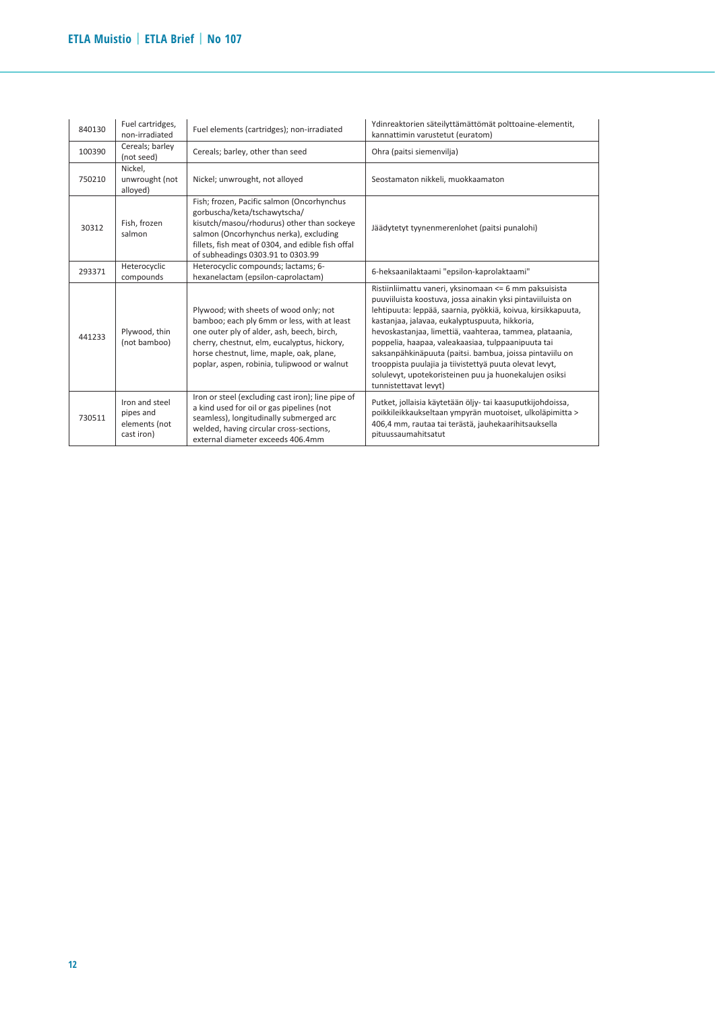| 840130 | Fuel cartridges,<br>non-irradiated                         | Fuel elements (cartridges); non-irradiated                                                                                                                                                                                                                                    | Ydinreaktorien säteilyttämättömät polttoaine-elementit,<br>kannattimin varustetut (euratom)                                                                                                                                                                                                                                                                                                                                                                                                                                                                        |
|--------|------------------------------------------------------------|-------------------------------------------------------------------------------------------------------------------------------------------------------------------------------------------------------------------------------------------------------------------------------|--------------------------------------------------------------------------------------------------------------------------------------------------------------------------------------------------------------------------------------------------------------------------------------------------------------------------------------------------------------------------------------------------------------------------------------------------------------------------------------------------------------------------------------------------------------------|
| 100390 | Cereals; barley<br>(not seed)                              | Cereals; barley, other than seed                                                                                                                                                                                                                                              | Ohra (paitsi siemenvilja)                                                                                                                                                                                                                                                                                                                                                                                                                                                                                                                                          |
| 750210 | Nickel,<br>unwrought (not<br>alloyed)                      | Nickel; unwrought, not alloyed                                                                                                                                                                                                                                                | Seostamaton nikkeli, muokkaamaton                                                                                                                                                                                                                                                                                                                                                                                                                                                                                                                                  |
| 30312  | Fish, frozen<br>salmon                                     | Fish; frozen, Pacific salmon (Oncorhynchus<br>gorbuscha/keta/tschawytscha/<br>kisutch/masou/rhodurus) other than sockeye<br>salmon (Oncorhynchus nerka), excluding<br>fillets, fish meat of 0304, and edible fish offal<br>of subheadings 0303.91 to 0303.99                  | Jäädytetyt tyynenmerenlohet (paitsi punalohi)                                                                                                                                                                                                                                                                                                                                                                                                                                                                                                                      |
| 293371 | Heterocyclic<br>compounds                                  | Heterocyclic compounds; lactams; 6-<br>hexanelactam (epsilon-caprolactam)                                                                                                                                                                                                     | 6-heksaanilaktaami "epsilon-kaprolaktaami"                                                                                                                                                                                                                                                                                                                                                                                                                                                                                                                         |
| 441233 | Plywood, thin<br>(not bamboo)                              | Plywood; with sheets of wood only; not<br>bamboo; each ply 6mm or less, with at least<br>one outer ply of alder, ash, beech, birch,<br>cherry, chestnut, elm, eucalyptus, hickory,<br>horse chestnut, lime, maple, oak, plane,<br>poplar, aspen, robinia, tulipwood or walnut | Ristiinliimattu vaneri, yksinomaan <= 6 mm paksuisista<br>puuviiluista koostuva, jossa ainakin yksi pintaviiluista on<br>lehtipuuta: leppää, saarnia, pyökkiä, koivua, kirsikkapuuta,<br>kastanjaa, jalavaa, eukalyptuspuuta, hikkoria,<br>hevoskastanjaa, limettiä, vaahteraa, tammea, plataania,<br>poppelia, haapaa, valeakaasiaa, tulppaanipuuta tai<br>saksanpähkinäpuuta (paitsi. bambua, joissa pintaviilu on<br>trooppista puulajia ja tiivistettyä puuta olevat levyt,<br>solulevyt, upotekoristeinen puu ja huonekalujen osiksi<br>tunnistettavat levyt) |
| 730511 | Iron and steel<br>pipes and<br>elements (not<br>cast iron) | Iron or steel (excluding cast iron); line pipe of<br>a kind used for oil or gas pipelines (not<br>seamless), longitudinally submerged arc<br>welded, having circular cross-sections,<br>external diameter exceeds 406.4mm                                                     | Putket, jollaisia käytetään öljy- tai kaasuputkijohdoissa,<br>poikkileikkaukseltaan ympyrän muotoiset, ulkoläpimitta ><br>406,4 mm, rautaa tai terästä, jauhekaarihitsauksella<br>pituussaumahitsatut                                                                                                                                                                                                                                                                                                                                                              |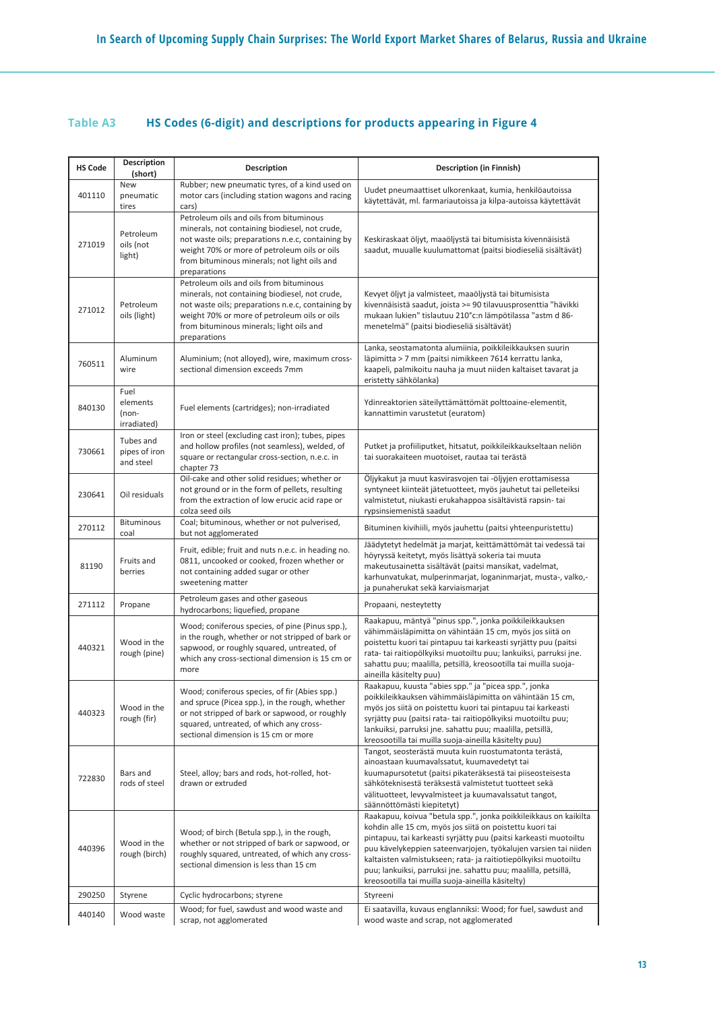## **Table A3 HS Codes (6-digit) and descriptions for products appearing in Figure 4**

| <b>HS Code</b> | <b>Description</b><br>(short)            | <b>Description</b>                                                                                                                                                                                                                                             | <b>Description (in Finnish)</b>                                                                                                                                                                                                                                                                                                                                                                                                                               |
|----------------|------------------------------------------|----------------------------------------------------------------------------------------------------------------------------------------------------------------------------------------------------------------------------------------------------------------|---------------------------------------------------------------------------------------------------------------------------------------------------------------------------------------------------------------------------------------------------------------------------------------------------------------------------------------------------------------------------------------------------------------------------------------------------------------|
| 401110         | New<br>pneumatic<br>tires                | Rubber; new pneumatic tyres, of a kind used on<br>motor cars (including station wagons and racing<br>cars)                                                                                                                                                     | Uudet pneumaattiset ulkorenkaat, kumia, henkilöautoissa<br>käytettävät, ml. farmariautoissa ja kilpa-autoissa käytettävät                                                                                                                                                                                                                                                                                                                                     |
| 271019         | Petroleum<br>oils (not<br>light)         | Petroleum oils and oils from bituminous<br>minerals, not containing biodiesel, not crude,<br>not waste oils; preparations n.e.c, containing by<br>weight 70% or more of petroleum oils or oils<br>from bituminous minerals; not light oils and<br>preparations | Keskiraskaat öljyt, maaöljystä tai bitumisista kivennäisistä<br>saadut, muualle kuulumattomat (paitsi biodieseliä sisältävät)                                                                                                                                                                                                                                                                                                                                 |
| 271012         | Petroleum<br>oils (light)                | Petroleum oils and oils from bituminous<br>minerals, not containing biodiesel, not crude,<br>not waste oils; preparations n.e.c, containing by<br>weight 70% or more of petroleum oils or oils<br>from bituminous minerals; light oils and<br>preparations     | Kevyet öljyt ja valmisteet, maaöljystä tai bitumisista<br>kivennäisistä saadut, joista > = 90 tilavuusprosenttia "hävikki<br>mukaan lukien" tislautuu 210°c:n lämpötilassa "astm d 86-<br>menetelmä" (paitsi biodieseliä sisältävät)                                                                                                                                                                                                                          |
| 760511         | Aluminum<br>wire                         | Aluminium; (not alloyed), wire, maximum cross-<br>sectional dimension exceeds 7mm                                                                                                                                                                              | Lanka, seostamatonta alumiinia, poikkileikkauksen suurin<br>läpimitta > 7 mm (paitsi nimikkeen 7614 kerrattu lanka,<br>kaapeli, palmikoitu nauha ja muut niiden kaltaiset tavarat ja<br>eristetty sähkölanka)                                                                                                                                                                                                                                                 |
| 840130         | Fuel<br>elements<br>(non-<br>irradiated) | Fuel elements (cartridges); non-irradiated                                                                                                                                                                                                                     | Ydinreaktorien säteilyttämättömät polttoaine-elementit,<br>kannattimin varustetut (euratom)                                                                                                                                                                                                                                                                                                                                                                   |
| 730661         | Tubes and<br>pipes of iron<br>and steel  | Iron or steel (excluding cast iron); tubes, pipes<br>and hollow profiles (not seamless), welded, of<br>square or rectangular cross-section, n.e.c. in<br>chapter 73                                                                                            | Putket ja profiiliputket, hitsatut, poikkileikkaukseltaan neliön<br>tai suorakaiteen muotoiset, rautaa tai terästä                                                                                                                                                                                                                                                                                                                                            |
| 230641         | Oil residuals                            | Oil-cake and other solid residues; whether or<br>not ground or in the form of pellets, resulting<br>from the extraction of low erucic acid rape or<br>colza seed oils                                                                                          | Öljykakut ja muut kasvirasvojen tai -öljyjen erottamisessa<br>syntyneet kiinteät jätetuotteet, myös jauhetut tai pelleteiksi<br>valmistetut, niukasti erukahappoa sisältävistä rapsin- tai<br>rypsinsiemenistä saadut                                                                                                                                                                                                                                         |
| 270112         | <b>Bituminous</b><br>coal                | Coal; bituminous, whether or not pulverised,<br>but not agglomerated                                                                                                                                                                                           | Bituminen kivihiili, myös jauhettu (paitsi yhteenpuristettu)                                                                                                                                                                                                                                                                                                                                                                                                  |
| 81190          | Fruits and<br>berries                    | Fruit, edible; fruit and nuts n.e.c. in heading no.<br>0811, uncooked or cooked, frozen whether or<br>not containing added sugar or other<br>sweetening matter                                                                                                 | Jäädytetyt hedelmät ja marjat, keittämättömät tai vedessä tai<br>höyryssä keitetyt, myös lisättyä sokeria tai muuta<br>makeutusainetta sisältävät (paitsi mansikat, vadelmat,<br>karhunvatukat, mulperinmarjat, loganinmarjat, musta-, valko,-<br>ja punaherukat sekä karviaismarjat                                                                                                                                                                          |
| 271112         | Propane                                  | Petroleum gases and other gaseous<br>hydrocarbons; liquefied, propane                                                                                                                                                                                          | Propaani, nesteytetty                                                                                                                                                                                                                                                                                                                                                                                                                                         |
| 440321         | Wood in the<br>rough (pine)              | Wood; coniferous species, of pine (Pinus spp.),<br>in the rough, whether or not stripped of bark or<br>sapwood, or roughly squared, untreated, of<br>which any cross-sectional dimension is 15 cm or<br>more                                                   | Raakapuu, mäntyä "pinus spp.", jonka poikkileikkauksen<br>vähimmäisläpimitta on vähintään 15 cm, myös jos siitä on<br>poistettu kuori tai pintapuu tai karkeasti syrjätty puu (paitsi<br>rata- tai raitiopölkyiksi muotoiltu puu; lankuiksi, parruksi jne.<br>sahattu puu; maalilla, petsillä, kreosootilla tai muilla suoja-<br>aineilla käsitelty puu)                                                                                                      |
| 440323         | Wood in the<br>rough (fir)               | Wood; coniferous species, of fir (Abies spp.)<br>and spruce (Picea spp.), in the rough, whether<br>or not stripped of bark or sapwood, or roughly<br>squared, untreated, of which any cross-<br>sectional dimension is 15 cm or more                           | Raakapuu, kuusta "abies spp." ja "picea spp.", jonka<br>poikkileikkauksen vähimmäisläpimitta on vähintään 15 cm,<br>myös jos siitä on poistettu kuori tai pintapuu tai karkeasti<br>syrjätty puu (paitsi rata- tai raitiopölkyiksi muotoiltu puu;<br>lankuiksi, parruksi jne. sahattu puu; maalilla, petsillä,<br>kreosootilla tai muilla suoja-aineilla käsitelty puu)                                                                                       |
| 722830         | Bars and<br>rods of steel                | Steel, alloy; bars and rods, hot-rolled, hot-<br>drawn or extruded                                                                                                                                                                                             | Tangot, seosterästä muuta kuin ruostumatonta terästä,<br>ainoastaan kuumavalssatut, kuumavedetyt tai<br>kuumapursotetut (paitsi pikateräksestä tai piiseosteisesta<br>sähköteknisestä teräksestä valmistetut tuotteet sekä<br>välituotteet, levyvalmisteet ja kuumavalssatut tangot,<br>säännöttömästi kiepitetyt)                                                                                                                                            |
| 440396         | Wood in the<br>rough (birch)             | Wood; of birch (Betula spp.), in the rough,<br>whether or not stripped of bark or sapwood, or<br>roughly squared, untreated, of which any cross-<br>sectional dimension is less than 15 cm                                                                     | Raakapuu, koivua "betula spp.", jonka poikkileikkaus on kaikilta<br>kohdin alle 15 cm, myös jos siitä on poistettu kuori tai<br>pintapuu, tai karkeasti syrjätty puu (paitsi karkeasti muotoiltu<br>puu kävelykeppien sateenvarjojen, työkalujen varsien tai niiden<br>kaltaisten valmistukseen; rata- ja raitiotiepölkyiksi muotoiltu<br>puu; lankuiksi, parruksi jne. sahattu puu; maalilla, petsillä,<br>kreosootilla tai muilla suoja-aineilla käsitelty) |
| 290250         | Styrene                                  | Cyclic hydrocarbons; styrene                                                                                                                                                                                                                                   | Styreeni                                                                                                                                                                                                                                                                                                                                                                                                                                                      |
| 440140         | Wood waste                               | Wood; for fuel, sawdust and wood waste and<br>scrap, not agglomerated                                                                                                                                                                                          | Ei saatavilla, kuvaus englanniksi: Wood; for fuel, sawdust and<br>wood waste and scrap, not agglomerated                                                                                                                                                                                                                                                                                                                                                      |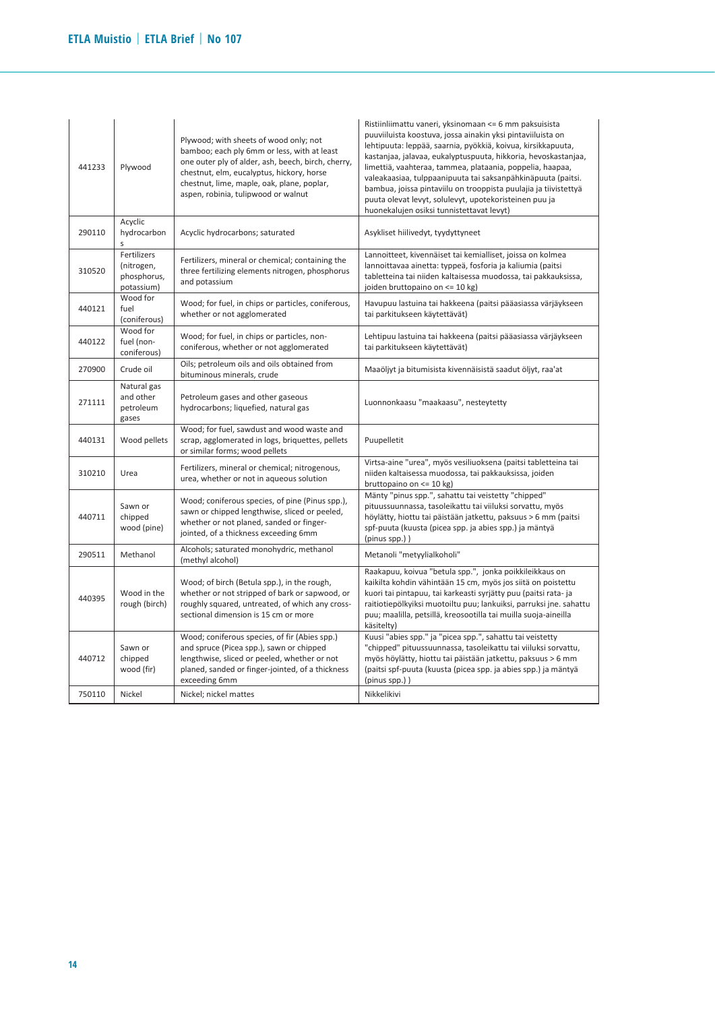| 441233 | Plywood                                                | Plywood; with sheets of wood only; not<br>bamboo; each ply 6mm or less, with at least<br>one outer ply of alder, ash, beech, birch, cherry,<br>chestnut, elm, eucalyptus, hickory, horse<br>chestnut, lime, maple, oak, plane, poplar,<br>aspen, robinia, tulipwood or walnut | Ristiinliimattu vaneri, yksinomaan <= 6 mm paksuisista<br>puuviiluista koostuva, jossa ainakin yksi pintaviiluista on<br>lehtipuuta: leppää, saarnia, pyökkiä, koivua, kirsikkapuuta,<br>kastanjaa, jalavaa, eukalyptuspuuta, hikkoria, hevoskastanjaa,<br>limettiä, vaahteraa, tammea, plataania, poppelia, haapaa,<br>valeakaasiaa, tulppaanipuuta tai saksanpähkinäpuuta (paitsi.<br>bambua, joissa pintaviilu on trooppista puulajia ja tiivistettyä<br>puuta olevat levyt, solulevyt, upotekoristeinen puu ja<br>huonekalujen osiksi tunnistettavat levyt) |
|--------|--------------------------------------------------------|-------------------------------------------------------------------------------------------------------------------------------------------------------------------------------------------------------------------------------------------------------------------------------|-----------------------------------------------------------------------------------------------------------------------------------------------------------------------------------------------------------------------------------------------------------------------------------------------------------------------------------------------------------------------------------------------------------------------------------------------------------------------------------------------------------------------------------------------------------------|
| 290110 | Acyclic<br>hydrocarbon<br>S                            | Acyclic hydrocarbons; saturated                                                                                                                                                                                                                                               | Asykliset hiilivedyt, tyydyttyneet                                                                                                                                                                                                                                                                                                                                                                                                                                                                                                                              |
| 310520 | Fertilizers<br>(nitrogen,<br>phosphorus,<br>potassium) | Fertilizers, mineral or chemical; containing the<br>three fertilizing elements nitrogen, phosphorus<br>and potassium                                                                                                                                                          | Lannoitteet, kivennäiset tai kemialliset, joissa on kolmea<br>lannoittavaa ainetta: typpeä, fosforia ja kaliumia (paitsi<br>tabletteina tai niiden kaltaisessa muodossa, tai pakkauksissa,<br>joiden bruttopaino on <= 10 kg)                                                                                                                                                                                                                                                                                                                                   |
| 440121 | Wood for<br>fuel<br>(coniferous)                       | Wood; for fuel, in chips or particles, coniferous,<br>whether or not agglomerated                                                                                                                                                                                             | Havupuu lastuina tai hakkeena (paitsi pääasiassa värjäykseen<br>tai parkitukseen käytettävät)                                                                                                                                                                                                                                                                                                                                                                                                                                                                   |
| 440122 | Wood for<br>fuel (non-<br>coniferous)                  | Wood; for fuel, in chips or particles, non-<br>coniferous, whether or not agglomerated                                                                                                                                                                                        | Lehtipuu lastuina tai hakkeena (paitsi pääasiassa värjäykseen<br>tai parkitukseen käytettävät)                                                                                                                                                                                                                                                                                                                                                                                                                                                                  |
| 270900 | Crude oil                                              | Oils; petroleum oils and oils obtained from<br>bituminous minerals, crude                                                                                                                                                                                                     | Maaöljyt ja bitumisista kivennäisistä saadut öljyt, raa'at                                                                                                                                                                                                                                                                                                                                                                                                                                                                                                      |
| 271111 | Natural gas<br>and other<br>petroleum<br>gases         | Petroleum gases and other gaseous<br>hydrocarbons; liquefied, natural gas                                                                                                                                                                                                     | Luonnonkaasu "maakaasu", nesteytetty                                                                                                                                                                                                                                                                                                                                                                                                                                                                                                                            |
| 440131 | Wood pellets                                           | Wood; for fuel, sawdust and wood waste and<br>scrap, agglomerated in logs, briquettes, pellets<br>or similar forms; wood pellets                                                                                                                                              | Puupelletit                                                                                                                                                                                                                                                                                                                                                                                                                                                                                                                                                     |
| 310210 | Urea                                                   | Fertilizers, mineral or chemical; nitrogenous,<br>urea, whether or not in aqueous solution                                                                                                                                                                                    | Virtsa-aine "urea", myös vesiliuoksena (paitsi tabletteina tai<br>niiden kaltaisessa muodossa, tai pakkauksissa, joiden<br>bruttopaino on <= 10 kg)                                                                                                                                                                                                                                                                                                                                                                                                             |
| 440711 | Sawn or<br>chipped<br>wood (pine)                      | Wood; coniferous species, of pine (Pinus spp.),<br>sawn or chipped lengthwise, sliced or peeled,<br>whether or not planed, sanded or finger-<br>jointed, of a thickness exceeding 6mm                                                                                         | Mänty "pinus spp.", sahattu tai veistetty "chipped"<br>pituussuunnassa, tasoleikattu tai viiluksi sorvattu, myös<br>höylätty, hiottu tai päistään jatkettu, paksuus > 6 mm (paitsi<br>spf-puuta (kuusta (picea spp. ja abies spp.) ja mäntyä<br>(pinus spp.))                                                                                                                                                                                                                                                                                                   |
| 290511 | Methanol                                               | Alcohols; saturated monohydric, methanol<br>(methyl alcohol)                                                                                                                                                                                                                  | Metanoli "metyylialkoholi"                                                                                                                                                                                                                                                                                                                                                                                                                                                                                                                                      |
| 440395 | Wood in the<br>rough (birch)                           | Wood; of birch (Betula spp.), in the rough,<br>whether or not stripped of bark or sapwood, or<br>roughly squared, untreated, of which any cross-<br>sectional dimension is 15 cm or more                                                                                      | Raakapuu, koivua "betula spp.", jonka poikkileikkaus on<br>kaikilta kohdin vähintään 15 cm, myös jos siitä on poistettu<br>kuori tai pintapuu, tai karkeasti syrjätty puu (paitsi rata- ja<br>raitiotiepölkyiksi muotoiltu puu; lankuiksi, parruksi jne. sahattu<br>puu; maalilla, petsillä, kreosootilla tai muilla suoja-aineilla<br>käsitelty)                                                                                                                                                                                                               |
| 440712 | Sawn or<br>chipped<br>wood (fir)                       | Wood; coniferous species, of fir (Abies spp.)<br>and spruce (Picea spp.), sawn or chipped<br>lengthwise, sliced or peeled, whether or not<br>planed, sanded or finger-jointed, of a thickness<br>exceeding 6mm                                                                | Kuusi "abies spp." ja "picea spp.", sahattu tai veistetty<br>"chipped" pituussuunnassa, tasoleikattu tai viiluksi sorvattu,<br>myös höylätty, hiottu tai päistään jatkettu, paksuus > 6 mm<br>(paitsi spf-puuta (kuusta (picea spp. ja abies spp.) ja mäntyä<br>(pinus spp.))                                                                                                                                                                                                                                                                                   |
| 750110 | Nickel                                                 | Nickel; nickel mattes                                                                                                                                                                                                                                                         | Nikkelikivi                                                                                                                                                                                                                                                                                                                                                                                                                                                                                                                                                     |